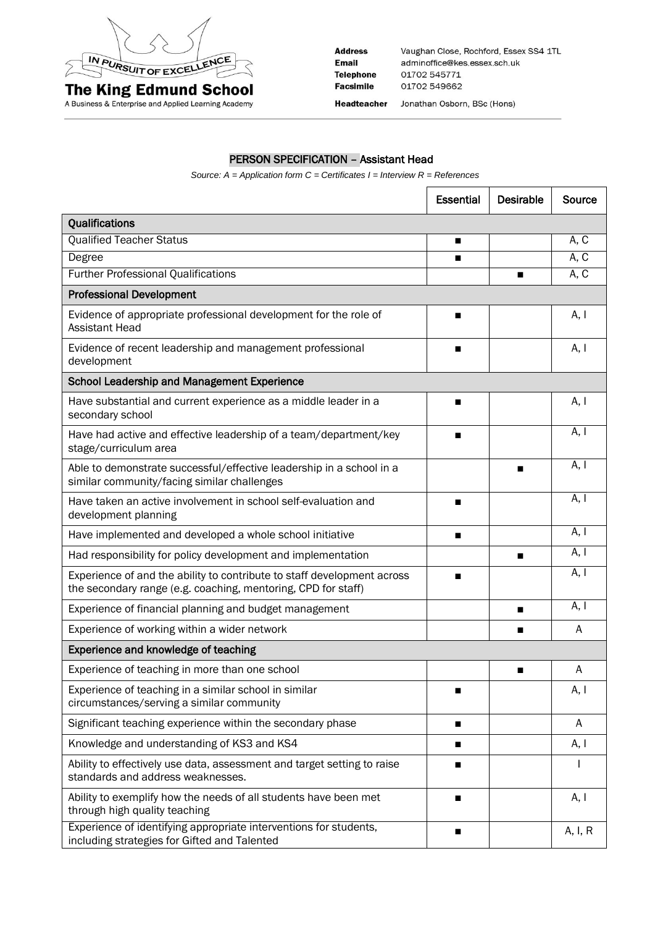

A Business & Enterprise and Applied Learning Academy

**Address** Vaughan Close, Rochford, Essex SS4 1TL **Email** adminoffice@kes.essex.sch.uk **Telephone** 01702 545771 01702 549662 **Facsimile** Headteacher Jonathan Osborn, BSc (Hons)

## PERSON SPECIFICATION – Assistant Head

*Source: A = Application form C = Certificates I = Interview R = References*

|                                                                                                                                          | <b>Essential</b> | <b>Desirable</b> | Source  |
|------------------------------------------------------------------------------------------------------------------------------------------|------------------|------------------|---------|
| Qualifications                                                                                                                           |                  |                  |         |
| <b>Qualified Teacher Status</b>                                                                                                          | п                |                  | A, C    |
| Degree                                                                                                                                   | п                |                  | A, C    |
| <b>Further Professional Qualifications</b>                                                                                               |                  | п                | A, C    |
| <b>Professional Development</b>                                                                                                          |                  |                  |         |
| Evidence of appropriate professional development for the role of<br><b>Assistant Head</b>                                                | ■                |                  | A, I    |
| Evidence of recent leadership and management professional<br>development                                                                 | П                |                  | A, I    |
| <b>School Leadership and Management Experience</b>                                                                                       |                  |                  |         |
| Have substantial and current experience as a middle leader in a<br>secondary school                                                      | п                |                  | A, I    |
| Have had active and effective leadership of a team/department/key<br>stage/curriculum area                                               | п                |                  | A, I    |
| Able to demonstrate successful/effective leadership in a school in a<br>similar community/facing similar challenges                      |                  | п                | A, I    |
| Have taken an active involvement in school self-evaluation and<br>development planning                                                   | п                |                  | A, I    |
| Have implemented and developed a whole school initiative                                                                                 | п                |                  | A, I    |
| Had responsibility for policy development and implementation                                                                             |                  | п                | A, I    |
| Experience of and the ability to contribute to staff development across<br>the secondary range (e.g. coaching, mentoring, CPD for staff) | ■                |                  | A, I    |
| Experience of financial planning and budget management                                                                                   |                  | п                | A, I    |
| Experience of working within a wider network                                                                                             |                  | п                | A       |
| Experience and knowledge of teaching                                                                                                     |                  |                  |         |
| Experience of teaching in more than one school                                                                                           |                  |                  | A       |
| Experience of teaching in a similar school in similar<br>circumstances/serving a similar community                                       | ■                |                  | A, I    |
| Significant teaching experience within the secondary phase                                                                               | п                |                  | A       |
| Knowledge and understanding of KS3 and KS4                                                                                               | п                |                  | A, I    |
| Ability to effectively use data, assessment and target setting to raise<br>standards and address weaknesses.                             | п                |                  |         |
| Ability to exemplify how the needs of all students have been met<br>through high quality teaching                                        | п                |                  | A, I    |
| Experience of identifying appropriate interventions for students,<br>including strategies for Gifted and Talented                        | п                |                  | A, I, R |